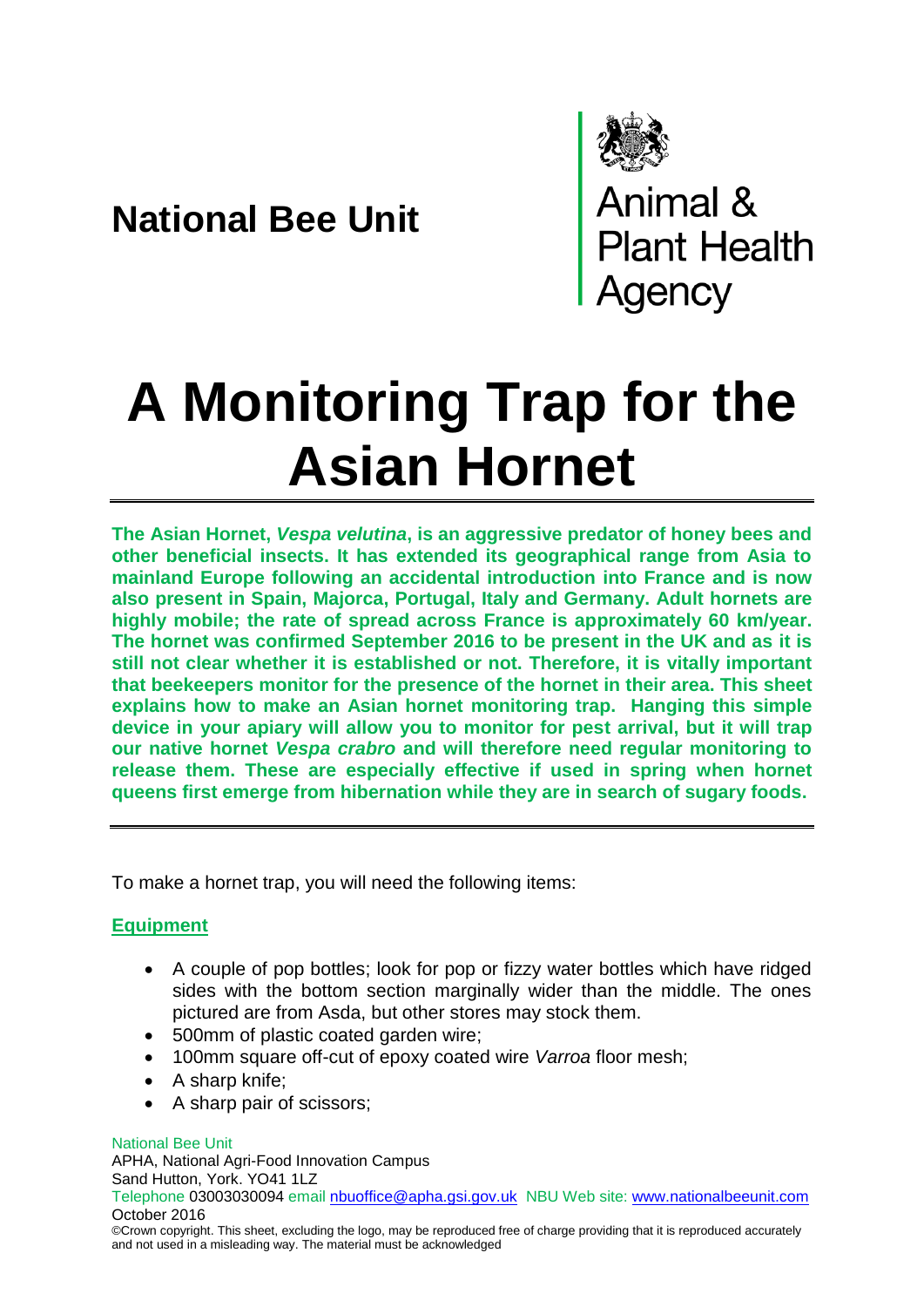# **National Bee Unit**



Animal &<br>Plant Health<br>Agency

# **A Monitoring Trap for the Asian Hornet**

**The Asian Hornet,** *Vespa velutina***, is an aggressive predator of honey bees and other beneficial insects. It has extended its geographical range from Asia to mainland Europe following an accidental introduction into France and is now also present in Spain, Majorca, Portugal, Italy and Germany. Adult hornets are highly mobile; the rate of spread across France is approximately 60 km/year. The hornet was confirmed September 2016 to be present in the UK and as it is still not clear whether it is established or not. Therefore, it is vitally important that beekeepers monitor for the presence of the hornet in their area. This sheet explains how to make an Asian hornet monitoring trap. Hanging this simple device in your apiary will allow you to monitor for pest arrival, but it will trap our native hornet** *Vespa crabro* **and will therefore need regular monitoring to release them. These are especially effective if used in spring when hornet queens first emerge from hibernation while they are in search of sugary foods.** 

To make a hornet trap, you will need the following items:

# **Equipment**

- A couple of pop bottles; look for pop or fizzy water bottles which have ridged sides with the bottom section marginally wider than the middle. The ones pictured are from Asda, but other stores may stock them.
- 500mm of plastic coated garden wire;
- 100mm square off-cut of epoxy coated wire *Varroa* floor mesh;
- A sharp knife:
- A sharp pair of scissors;

## National Bee Unit

APHA, National Agri-Food Innovation Campus Sand Hutton, York. YO41 1LZ Telephone 03003030094 email [nbuoffice@apha.gsi.gov.uk](mailto:nbuoffice@apha.gsi.gov.uk) NBU Web site: [www.nationalbeeunit.com](http://www.nationalbeeunit.com/) October 2016

©Crown copyright. This sheet, excluding the logo, may be reproduced free of charge providing that it is reproduced accurately and not used in a misleading way. The material must be acknowledged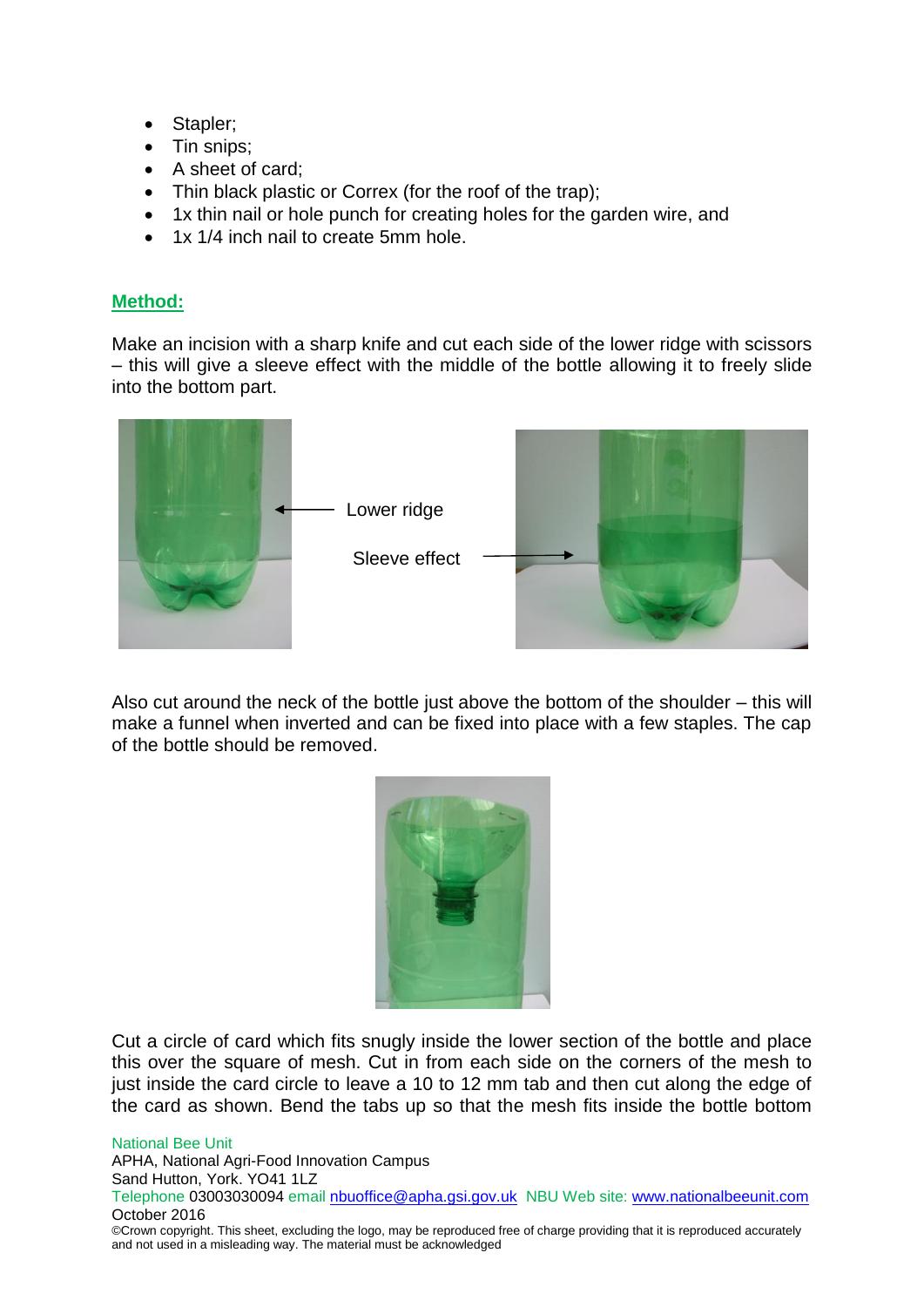- Stapler;
- Tin snips;
- A sheet of card:
- Thin black plastic or Correx (for the roof of the trap);
- 1x thin nail or hole punch for creating holes for the garden wire, and
- 1x 1/4 inch nail to create 5mm hole.

# **Method:**

Make an incision with a sharp knife and cut each side of the lower ridge with scissors – this will give a sleeve effect with the middle of the bottle allowing it to freely slide into the bottom part.



Also cut around the neck of the bottle just above the bottom of the shoulder – this will make a funnel when inverted and can be fixed into place with a few staples. The cap of the bottle should be removed.



Cut a circle of card which fits snugly inside the lower section of the bottle and place this over the square of mesh. Cut in from each side on the corners of the mesh to just inside the card circle to leave a 10 to 12 mm tab and then cut along the edge of the card as shown. Bend the tabs up so that the mesh fits inside the bottle bottom

#### National Bee Unit

APHA, National Agri-Food Innovation Campus Sand Hutton, York. YO41 1LZ Telephone 03003030094 email [nbuoffice@apha.gsi.gov.uk](mailto:nbuoffice@apha.gsi.gov.uk) NBU Web site: [www.nationalbeeunit.com](http://www.nationalbeeunit.com/) October 2016 ©Crown copyright. This sheet, excluding the logo, may be reproduced free of charge providing that it is reproduced accurately

and not used in a misleading way. The material must be acknowledged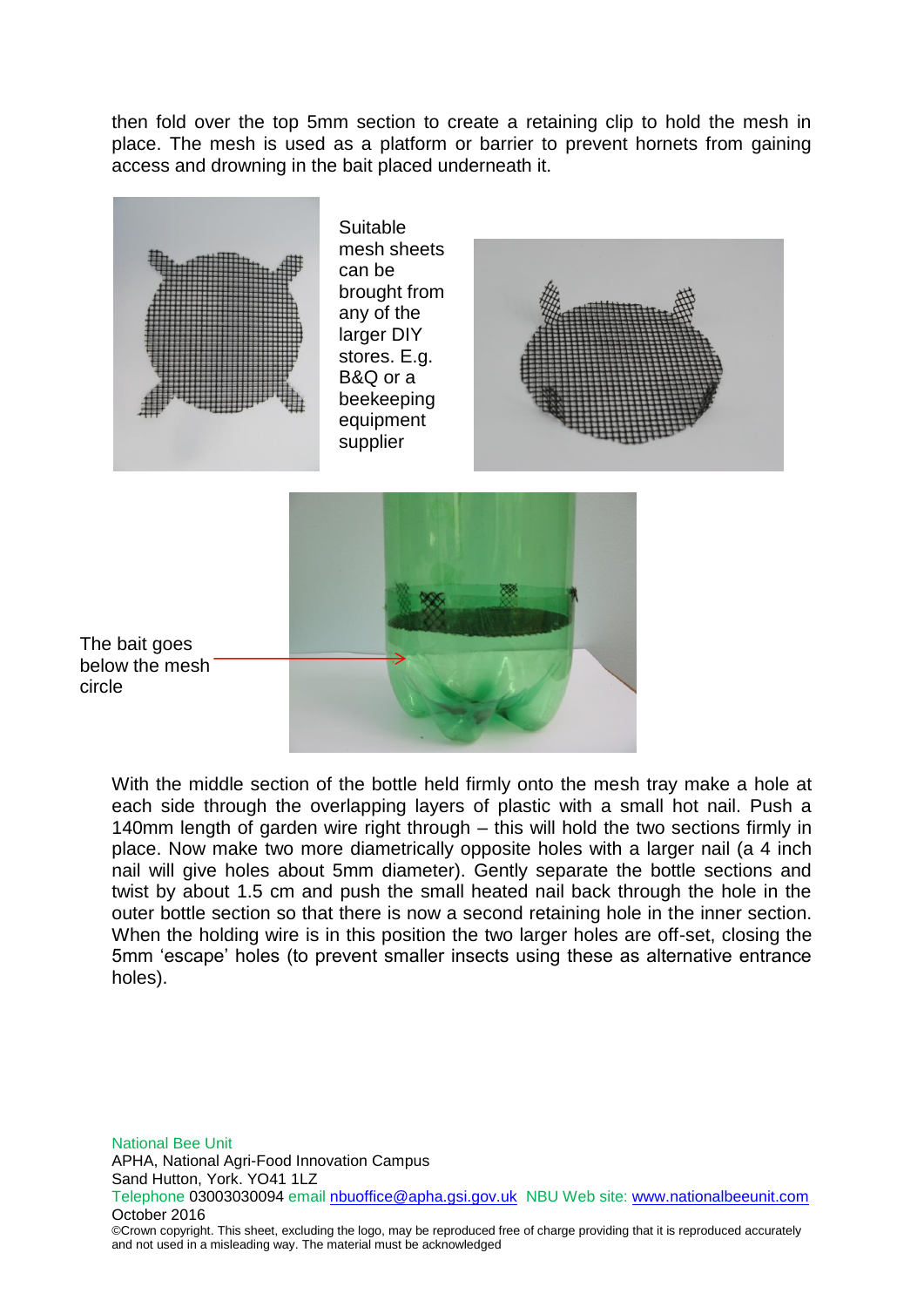then fold over the top 5mm section to create a retaining clip to hold the mesh in place. The mesh is used as a platform or barrier to prevent hornets from gaining access and drowning in the bait placed underneath it.





With the middle section of the bottle held firmly onto the mesh tray make a hole at each side through the overlapping layers of plastic with a small hot nail. Push a 140mm length of garden wire right through – this will hold the two sections firmly in place. Now make two more diametrically opposite holes with a larger nail (a 4 inch nail will give holes about 5mm diameter). Gently separate the bottle sections and twist by about 1.5 cm and push the small heated nail back through the hole in the outer bottle section so that there is now a second retaining hole in the inner section. When the holding wire is in this position the two larger holes are off-set, closing the 5mm 'escape' holes (to prevent smaller insects using these as alternative entrance holes).

National Bee Unit APHA, National Agri-Food Innovation Campus Sand Hutton, York. YO41 1LZ Telephone 03003030094 email [nbuoffice@apha.gsi.gov.uk](mailto:nbuoffice@apha.gsi.gov.uk) NBU Web site: [www.nationalbeeunit.com](http://www.nationalbeeunit.com/) October 2016 ©Crown copyright. This sheet, excluding the logo, may be reproduced free of charge providing that it is reproduced accurately and not used in a misleading way. The material must be acknowledged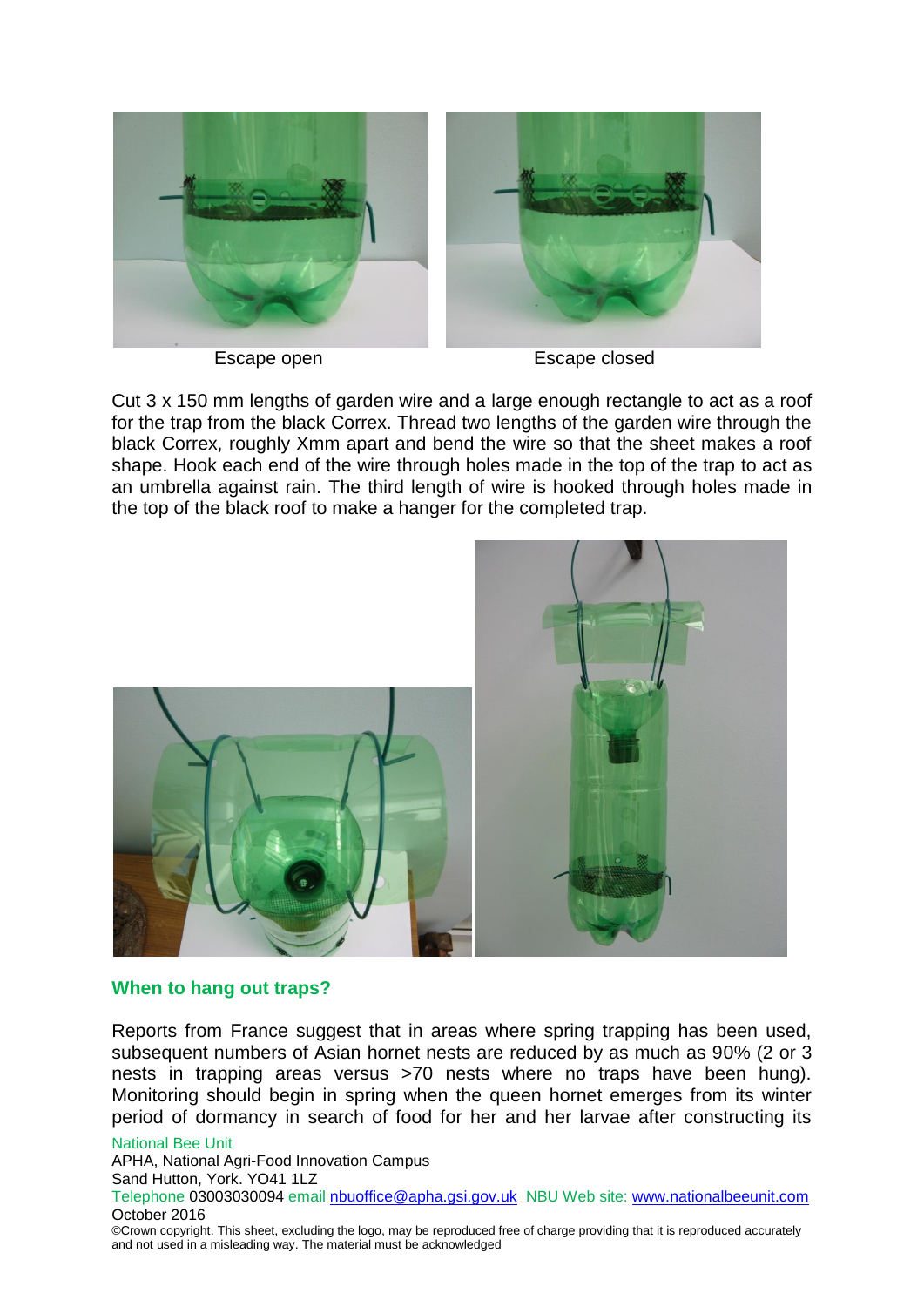

Escape open Escape closed

Cut 3 x 150 mm lengths of garden wire and a large enough rectangle to act as a roof for the trap from the black Correx. Thread two lengths of the garden wire through the black Correx, roughly Xmm apart and bend the wire so that the sheet makes a roof shape. Hook each end of the wire through holes made in the top of the trap to act as an umbrella against rain. The third length of wire is hooked through holes made in the top of the black roof to make a hanger for the completed trap.



# **When to hang out traps?**

Reports from France suggest that in areas where spring trapping has been used, subsequent numbers of Asian hornet nests are reduced by as much as 90% (2 or 3 nests in trapping areas versus >70 nests where no traps have been hung). Monitoring should begin in spring when the queen hornet emerges from its winter period of dormancy in search of food for her and her larvae after constructing its

National Bee Unit

APHA, National Agri-Food Innovation Campus

Sand Hutton, York. YO41 1LZ

Telephone 03003030094 email [nbuoffice@apha.gsi.gov.uk](mailto:nbuoffice@apha.gsi.gov.uk) NBU Web site: [www.nationalbeeunit.com](http://www.nationalbeeunit.com/) October 2016

©Crown copyright. This sheet, excluding the logo, may be reproduced free of charge providing that it is reproduced accurately and not used in a misleading way. The material must be acknowledged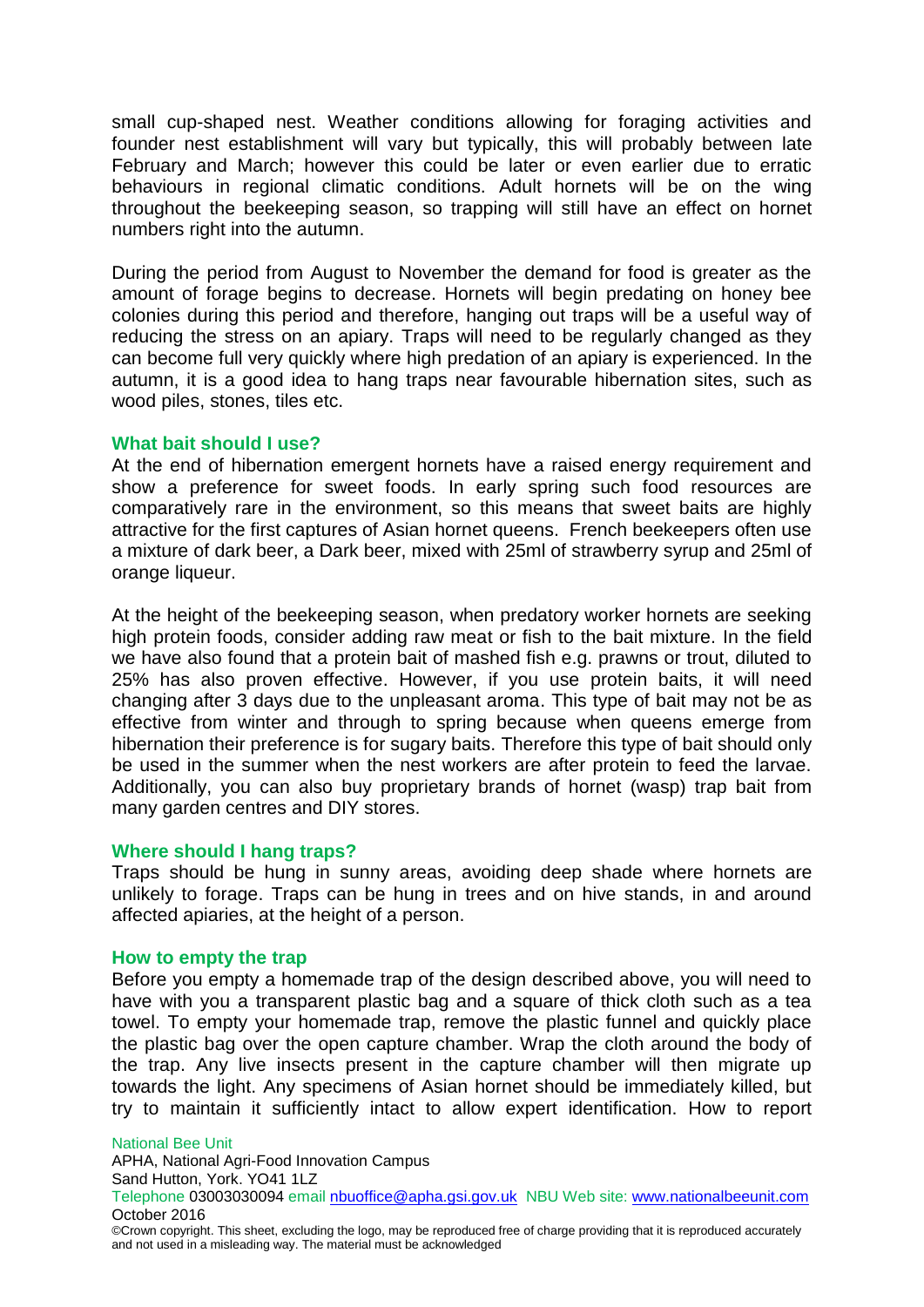small cup-shaped nest. Weather conditions allowing for foraging activities and founder nest establishment will vary but typically, this will probably between late February and March; however this could be later or even earlier due to erratic behaviours in regional climatic conditions. Adult hornets will be on the wing throughout the beekeeping season, so trapping will still have an effect on hornet numbers right into the autumn.

During the period from August to November the demand for food is greater as the amount of forage begins to decrease. Hornets will begin predating on honey bee colonies during this period and therefore, hanging out traps will be a useful way of reducing the stress on an apiary. Traps will need to be regularly changed as they can become full very quickly where high predation of an apiary is experienced. In the autumn, it is a good idea to hang traps near favourable hibernation sites, such as wood piles, stones, tiles etc.

# **What bait should I use?**

At the end of hibernation emergent hornets have a raised energy requirement and show a preference for sweet foods. In early spring such food resources are comparatively rare in the environment, so this means that sweet baits are highly attractive for the first captures of Asian hornet queens. French beekeepers often use a mixture of dark beer, a Dark beer, mixed with 25ml of strawberry syrup and 25ml of orange liqueur.

At the height of the beekeeping season, when predatory worker hornets are seeking high protein foods, consider adding raw meat or fish to the bait mixture. In the field we have also found that a protein bait of mashed fish e.g. prawns or trout, diluted to 25% has also proven effective. However, if you use protein baits, it will need changing after 3 days due to the unpleasant aroma. This type of bait may not be as effective from winter and through to spring because when queens emerge from hibernation their preference is for sugary baits. Therefore this type of bait should only be used in the summer when the nest workers are after protein to feed the larvae. Additionally, you can also buy proprietary brands of hornet (wasp) trap bait from many garden centres and DIY stores.

## **Where should I hang traps?**

Traps should be hung in sunny areas, avoiding deep shade where hornets are unlikely to forage. Traps can be hung in trees and on hive stands, in and around affected apiaries, at the height of a person.

## **How to empty the trap**

Before you empty a homemade trap of the design described above, you will need to have with you a transparent plastic bag and a square of thick cloth such as a tea towel. To empty your homemade trap, remove the plastic funnel and quickly place the plastic bag over the open capture chamber. Wrap the cloth around the body of the trap. Any live insects present in the capture chamber will then migrate up towards the light. Any specimens of Asian hornet should be immediately killed, but try to maintain it sufficiently intact to allow expert identification. How to report

National Bee Unit

APHA, National Agri-Food Innovation Campus Sand Hutton, York. YO41 1LZ

Telephone 03003030094 email [nbuoffice@apha.gsi.gov.uk](mailto:nbuoffice@apha.gsi.gov.uk) NBU Web site: [www.nationalbeeunit.com](http://www.nationalbeeunit.com/) October 2016

<sup>©</sup>Crown copyright. This sheet, excluding the logo, may be reproduced free of charge providing that it is reproduced accurately and not used in a misleading way. The material must be acknowledged